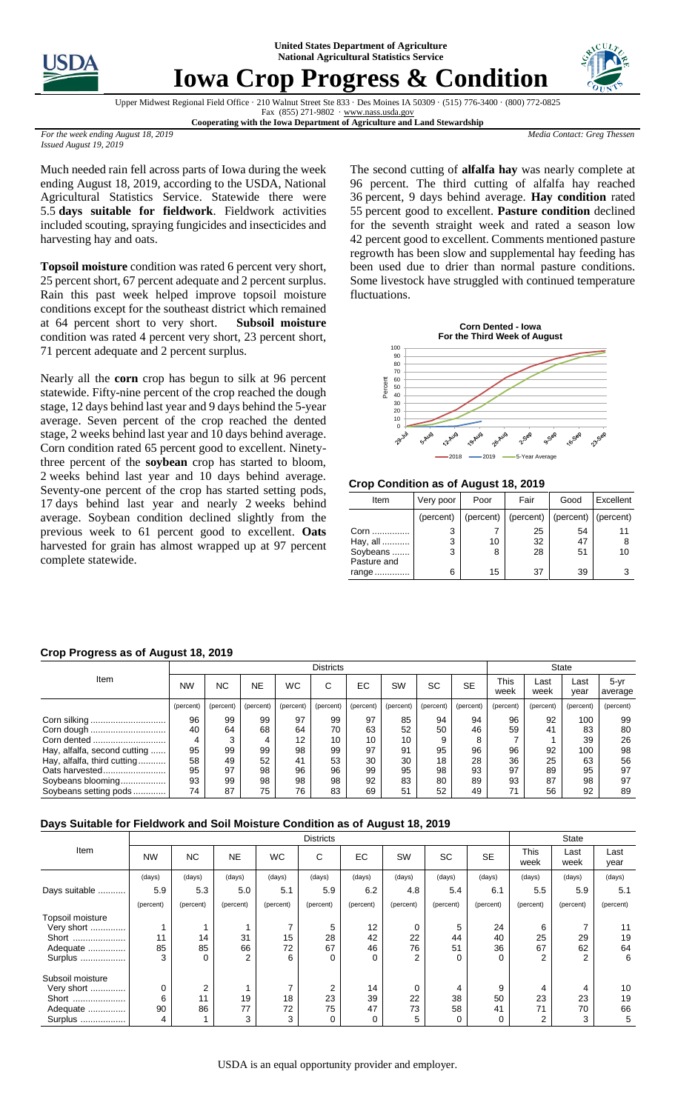**United States Department of Agriculture National Agricultural Statistics Service**



## **Iowa Crop Progress & Condition**



Upper Midwest Regional Field Office · 210 Walnut Street Ste 833 · Des Moines IA 50309 · (515) 776-3400 · (800) 772-0825 Fax (855) 271-9802 · [www.nass.usda.gov](http://www.nass.usda.gov/)

**Cooperating with the Iowa Department of Agriculture and Land Stewardship**

*Media Contact: Greg Thessen*

*For the week ending August 18, 2019 Issued August 19, 2019*

Much needed rain fell across parts of Iowa during the week ending August 18, 2019, according to the USDA, National Agricultural Statistics Service. Statewide there were 5.5 **days suitable for fieldwork**. Fieldwork activities included scouting, spraying fungicides and insecticides and harvesting hay and oats.

**Topsoil moisture** condition was rated 6 percent very short, 25 percent short, 67 percent adequate and 2 percent surplus. Rain this past week helped improve topsoil moisture conditions except for the southeast district which remained at 64 percent short to very short. **Subsoil moisture**  condition was rated 4 percent very short, 23 percent short, 71 percent adequate and 2 percent surplus.

Nearly all the **corn** crop has begun to silk at 96 percent statewide. Fifty-nine percent of the crop reached the dough stage, 12 days behind last year and 9 days behind the 5-year average. Seven percent of the crop reached the dented stage, 2 weeks behind last year and 10 days behind average. Corn condition rated 65 percent good to excellent. Ninetythree percent of the **soybean** crop has started to bloom, weeks behind last year and 10 days behind average. Seventy-one percent of the crop has started setting pods, days behind last year and nearly 2 weeks behind average. Soybean condition declined slightly from the previous week to 61 percent good to excellent. **Oats**  harvested for grain has almost wrapped up at 97 percent complete statewide.

The second cutting of **alfalfa hay** was nearly complete at 96 percent. The third cutting of alfalfa hay reached percent, 9 days behind average. **Hay condition** rated percent good to excellent. **Pasture condition** declined for the seventh straight week and rated a season low percent good to excellent. Comments mentioned pasture regrowth has been slow and supplemental hay feeding has been used due to drier than normal pasture conditions. Some livestock have struggled with continued temperature fluctuations.



**Crop Condition as of August 18, 2019**

| Item                                        | Very poor | Poor    | Fair                         | Good                  | Excellent |
|---------------------------------------------|-----------|---------|------------------------------|-----------------------|-----------|
|                                             | (percent) |         | $(\text{percent})$ (percent) | $(percent)$ (percent) |           |
| Corn<br>Hay, all<br>Soybeans<br>Pasture and | 3<br>3    | 10<br>8 | 25<br>32<br>28               | 54<br>47<br>51        | 11<br>10  |
| range                                       | 6         | 15      | 37                           | 39                    |           |

## **Crop Progress as of August 18, 2019**

|                              | <b>Districts</b> |           |           |           |           |           |           |           | <b>State</b> |              |              |              |                 |
|------------------------------|------------------|-----------|-----------|-----------|-----------|-----------|-----------|-----------|--------------|--------------|--------------|--------------|-----------------|
| Item                         | <b>NW</b>        | NС        | <b>NE</b> | <b>WC</b> | С         | ЕC        | <b>SW</b> | <b>SC</b> | <b>SE</b>    | This<br>week | Last<br>week | Last<br>year | 5-yr<br>average |
|                              | (percent)        | (percent) | (percent) | (percent) | (percent) | (percent) | (percent) | (percent) | (percent)    | (percent)    | (percent)    | (percent)    | (percent)       |
| Corn silking                 | 96               | 99        | 99        | 97        | 99        | 97        | 85        | 94        | 94           | 96           | 92           | 100          | 99              |
| Corn dough                   | 40               | 64        | 68        | 64        | 70        | 63        | 52        | 50        | 46           | 59           | 41           | 83           | 80              |
| Corn dented                  | 4                | 3         | 4         | 12        | 10        | 10        | 10        | 9         |              |              |              | 39           | 26              |
| Hay, alfalfa, second cutting | 95               | 99        | 99        | 98        | 99        | 97        | 91        | 95        | 96           | 96           | 92           | 100          | 98              |
| Hay, alfalfa, third cutting  | 58               | 49        | 52        | 41        | 53        | 30        | 30        | 18        | 28           | 36           | 25           | 63           | 56              |
| Oats harvested               | 95               | 97        | 98        | 96        | 96        | 99        | 95        | 98        | 93           | 97           | 89           | 95           | 97              |
| Soybeans blooming            | 93               | 99        | 98        | 98        | 98        | 92        | 83        | 80        | 89           | 93           | 87           | 98           | 97              |
| Soybeans setting pods        | 74               | 87        | 75        | 76        | 83        | 69        | 51        | 52        | 49           | 71           | 56           | 92           | 89              |

## **Days Suitable for Fieldwork and Soil Moisture Condition as of August 18, 2019**

|                  | <b>Districts</b> |           |           |           |                |           |           |           |           |                | <b>State</b>   |              |  |
|------------------|------------------|-----------|-----------|-----------|----------------|-----------|-----------|-----------|-----------|----------------|----------------|--------------|--|
| Item             | <b>NW</b>        | NC.       | <b>NE</b> | <b>WC</b> | С              | <b>EC</b> | SW        | <b>SC</b> | <b>SE</b> | This<br>week   | Last<br>week   | Last<br>year |  |
|                  | (days)           | (days)    | (days)    | (days)    | (days)         | (days)    | (days)    | (days)    | (days)    | (days)         | (days)         | (days)       |  |
| Days suitable    | 5.9              | 5.3       | 5.0       | 5.1       | 5.9            | 6.2       | 4.8       | 5.4       | 6.1       | 5.5            | 5.9            | 5.1          |  |
|                  | (percent)        | (percent) | (percent) | (percent) | (percent)      | (percent) | (percent) | (percent) | (percent) | (percent)      | (percent)      | (percent)    |  |
| Topsoil moisture |                  |           |           |           |                |           |           |           |           |                |                |              |  |
| Very short       |                  |           |           | ⇁         | 5              | 12        | 0         | 5         | 24        | 6              |                | 11           |  |
| Short            | 11               | 14        | 31        | 15        | 28             | 42        | 22        | 44        | 40        | 25             | 29             | 19           |  |
| Adequate         | 85               | 85        | 66        | 72        | 67             | 46        | 76        | 51        | 36        | 67             | 62             | 64           |  |
| Surplus          | 3                | $\Omega$  | 2         | 6         | $\Omega$       | 0         | 2         | 0         | 0         | $\overline{2}$ | $\overline{2}$ | 6            |  |
| Subsoil moisture |                  |           |           |           |                |           |           |           |           |                |                |              |  |
| Very short       | 0                | 2         |           | ⇁         | $\overline{2}$ | 14        | 0         | 4         | 9         | 4              | 4              | 10           |  |
| Short            | 6                | 11        | 19        | 18        | 23             | 39        | 22        | 38        | 50        | 23             | 23             | 19           |  |
| Adequate         | 90               | 86        | 77        | 72        | 75             | 47        | 73        | 58        | 41        | 71             | 70             | 66           |  |
| Surplus          | 4                |           | 3         | 3         | 0              | 0         | 5         | 0         | 0         | 2              | 3              | 5            |  |